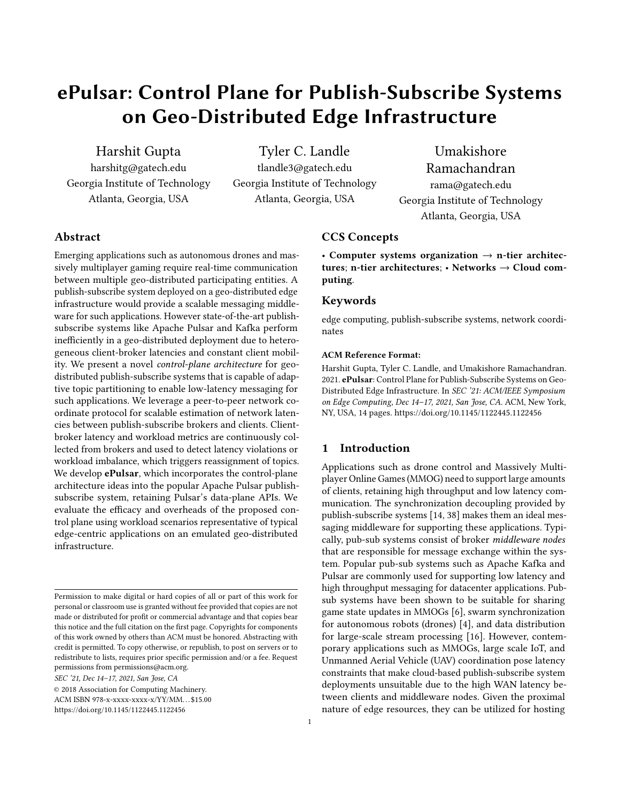# ePulsar: Control Plane for Publish-Subscribe Systems on Geo-Distributed Edge Infrastructure

Harshit Gupta harshitg@gatech.edu Georgia Institute of Technology Atlanta, Georgia, USA

Tyler C. Landle tlandle3@gatech.edu Georgia Institute of Technology Atlanta, Georgia, USA

Umakishore Ramachandran rama@gatech.edu Georgia Institute of Technology

Atlanta, Georgia, USA

# Abstract

Emerging applications such as autonomous drones and massively multiplayer gaming require real-time communication between multiple geo-distributed participating entities. A publish-subscribe system deployed on a geo-distributed edge infrastructure would provide a scalable messaging middleware for such applications. However state-of-the-art publishsubscribe systems like Apache Pulsar and Kafka perform inefficiently in a geo-distributed deployment due to heterogeneous client-broker latencies and constant client mobility. We present a novel control-plane architecture for geodistributed publish-subscribe systems that is capable of adaptive topic partitioning to enable low-latency messaging for such applications. We leverage a peer-to-peer network coordinate protocol for scalable estimation of network latencies between publish-subscribe brokers and clients. Clientbroker latency and workload metrics are continuously collected from brokers and used to detect latency violations or workload imbalance, which triggers reassignment of topics. We develop **ePulsar**, which incorporates the control-plane architecture ideas into the popular Apache Pulsar publishsubscribe system, retaining Pulsar's data-plane APIs. We evaluate the efficacy and overheads of the proposed control plane using workload scenarios representative of typical edge-centric applications on an emulated geo-distributed infrastructure.

SEC '21, Dec 14–17, 2021, San Jose, CA

ACM ISBN 978-x-xxxx-xxxx-x/YY/MM. . . \$15.00

#### CCS Concepts

• Computer systems organization  $\rightarrow$  n-tier architectures; n-tier architectures;  $\cdot$  Networks  $\rightarrow$  Cloud computing.

## Keywords

edge computing, publish-subscribe systems, network coordinates

#### ACM Reference Format:

Harshit Gupta, Tyler C. Landle, and Umakishore Ramachandran. 2021. ePulsar: Control Plane for Publish-Subscribe Systems on Geo-Distributed Edge Infrastructure. In SEC '21: ACM/IEEE Symposium on Edge Computing, Dec 14–17, 2021, San Jose, CA. ACM, New York, NY, USA, 14 pages. https://doi.org/10.1145/1122445.1122456

## 1 Introduction

Applications such as drone control and Massively Multiplayer Online Games (MMOG) need to support large amounts of clients, retaining high throughput and low latency communication. The synchronization decoupling provided by publish-subscribe systems [14, 38] makes them an ideal messaging middleware for supporting these applications. Typically, pub-sub systems consist of broker middleware nodes that are responsible for message exchange within the system. Popular pub-sub systems such as Apache Kafka and Pulsar are commonly used for supporting low latency and high throughput messaging for datacenter applications. Pubsub systems have been shown to be suitable for sharing game state updates in MMOGs [6], swarm synchronization for autonomous robots (drones) [4], and data distribution for large-scale stream processing [16]. However, contemporary applications such as MMOGs, large scale IoT, and Unmanned Aerial Vehicle (UAV) coordination pose latency constraints that make cloud-based publish-subscribe system deployments unsuitable due to the high WAN latency between clients and middleware nodes. Given the proximal nature of edge resources, they can be utilized for hosting

Permission to make digital or hard copies of all or part of this work for personal or classroom use is granted without fee provided that copies are not made or distributed for profit or commercial advantage and that copies bear this notice and the full citation on the first page. Copyrights for components of this work owned by others than ACM must be honored. Abstracting with credit is permitted. To copy otherwise, or republish, to post on servers or to redistribute to lists, requires prior specific permission and/or a fee. Request permissions from permissions@acm.org.

<sup>©</sup> 2018 Association for Computing Machinery.

https://doi.org/10.1145/1122445.1122456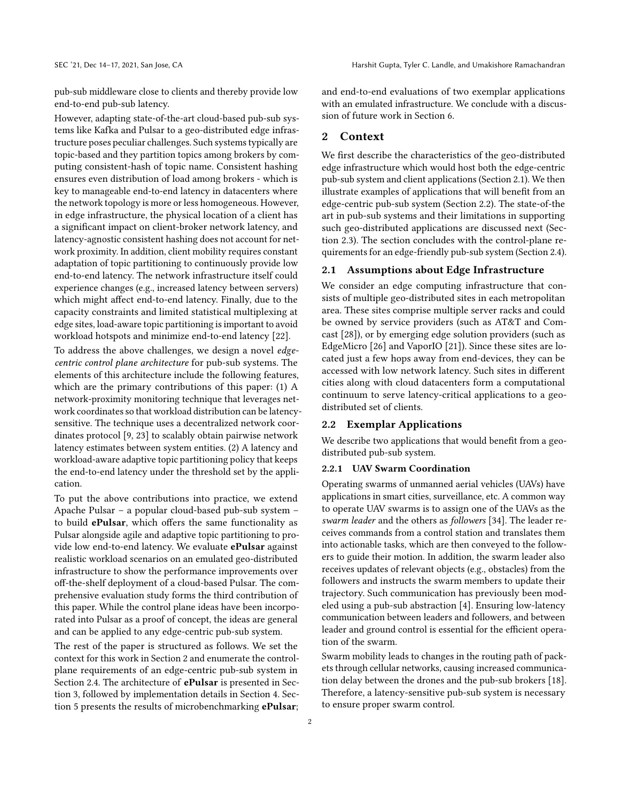pub-sub middleware close to clients and thereby provide low end-to-end pub-sub latency.

However, adapting state-of-the-art cloud-based pub-sub systems like Kafka and Pulsar to a geo-distributed edge infrastructure poses peculiar challenges. Such systems typically are topic-based and they partition topics among brokers by computing consistent-hash of topic name. Consistent hashing ensures even distribution of load among brokers - which is key to manageable end-to-end latency in datacenters where the network topology is more or less homogeneous. However, in edge infrastructure, the physical location of a client has a significant impact on client-broker network latency, and latency-agnostic consistent hashing does not account for network proximity. In addition, client mobility requires constant adaptation of topic partitioning to continuously provide low end-to-end latency. The network infrastructure itself could experience changes (e.g., increased latency between servers) which might affect end-to-end latency. Finally, due to the capacity constraints and limited statistical multiplexing at edge sites, load-aware topic partitioning is important to avoid workload hotspots and minimize end-to-end latency [22].

To address the above challenges, we design a novel edgecentric control plane architecture for pub-sub systems. The elements of this architecture include the following features, which are the primary contributions of this paper: (1) A network-proximity monitoring technique that leverages network coordinates so that workload distribution can be latencysensitive. The technique uses a decentralized network coordinates protocol [9, 23] to scalably obtain pairwise network latency estimates between system entities. (2) A latency and workload-aware adaptive topic partitioning policy that keeps the end-to-end latency under the threshold set by the application.

To put the above contributions into practice, we extend Apache Pulsar – a popular cloud-based pub-sub system – to build ePulsar, which offers the same functionality as Pulsar alongside agile and adaptive topic partitioning to provide low end-to-end latency. We evaluate ePulsar against realistic workload scenarios on an emulated geo-distributed infrastructure to show the performance improvements over off-the-shelf deployment of a cloud-based Pulsar. The comprehensive evaluation study forms the third contribution of this paper. While the control plane ideas have been incorporated into Pulsar as a proof of concept, the ideas are general and can be applied to any edge-centric pub-sub system.

The rest of the paper is structured as follows. We set the context for this work in Section 2 and enumerate the controlplane requirements of an edge-centric pub-sub system in Section 2.4. The architecture of **ePulsar** is presented in Section 3, followed by implementation details in Section 4. Section 5 presents the results of microbenchmarking ePulsar; and end-to-end evaluations of two exemplar applications with an emulated infrastructure. We conclude with a discussion of future work in Section 6.

## 2 Context

We first describe the characteristics of the geo-distributed edge infrastructure which would host both the edge-centric pub-sub system and client applications (Section 2.1). We then illustrate examples of applications that will benefit from an edge-centric pub-sub system (Section 2.2). The state-of-the art in pub-sub systems and their limitations in supporting such geo-distributed applications are discussed next (Section 2.3). The section concludes with the control-plane requirements for an edge-friendly pub-sub system (Section 2.4).

## 2.1 Assumptions about Edge Infrastructure

We consider an edge computing infrastructure that consists of multiple geo-distributed sites in each metropolitan area. These sites comprise multiple server racks and could be owned by service providers (such as AT&T and Comcast [28]), or by emerging edge solution providers (such as EdgeMicro [26] and VaporIO [21]). Since these sites are located just a few hops away from end-devices, they can be accessed with low network latency. Such sites in different cities along with cloud datacenters form a computational continuum to serve latency-critical applications to a geodistributed set of clients.

#### 2.2 Exemplar Applications

We describe two applications that would benefit from a geodistributed pub-sub system.

## 2.2.1 UAV Swarm Coordination

Operating swarms of unmanned aerial vehicles (UAVs) have applications in smart cities, surveillance, etc. A common way to operate UAV swarms is to assign one of the UAVs as the swarm leader and the others as followers [34]. The leader receives commands from a control station and translates them into actionable tasks, which are then conveyed to the followers to guide their motion. In addition, the swarm leader also receives updates of relevant objects (e.g., obstacles) from the followers and instructs the swarm members to update their trajectory. Such communication has previously been modeled using a pub-sub abstraction [4]. Ensuring low-latency communication between leaders and followers, and between leader and ground control is essential for the efficient operation of the swarm.

Swarm mobility leads to changes in the routing path of packets through cellular networks, causing increased communication delay between the drones and the pub-sub brokers [18]. Therefore, a latency-sensitive pub-sub system is necessary to ensure proper swarm control.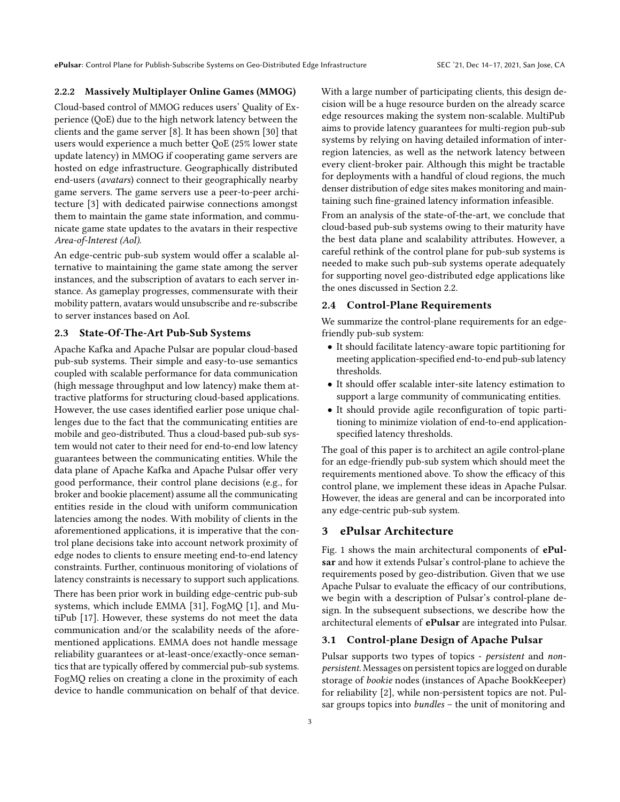ePulsar: Control Plane for Publish-Subscribe Systems on Geo-Distributed Edge Infrastructure SEC '21, Dec 14-17, 2021, San Jose, CA

#### 2.2.2 Massively Multiplayer Online Games (MMOG)

Cloud-based control of MMOG reduces users' Quality of Experience (QoE) due to the high network latency between the clients and the game server [8]. It has been shown [30] that users would experience a much better QoE (25% lower state update latency) in MMOG if cooperating game servers are hosted on edge infrastructure. Geographically distributed end-users (avatars) connect to their geographically nearby game servers. The game servers use a peer-to-peer architecture [3] with dedicated pairwise connections amongst them to maintain the game state information, and communicate game state updates to the avatars in their respective Area-of-Interest (AoI).

An edge-centric pub-sub system would offer a scalable alternative to maintaining the game state among the server instances, and the subscription of avatars to each server instance. As gameplay progresses, commensurate with their mobility pattern, avatars would unsubscribe and re-subscribe to server instances based on AoI.

# 2.3 State-Of-The-Art Pub-Sub Systems

Apache Kafka and Apache Pulsar are popular cloud-based pub-sub systems. Their simple and easy-to-use semantics coupled with scalable performance for data communication (high message throughput and low latency) make them attractive platforms for structuring cloud-based applications. However, the use cases identified earlier pose unique challenges due to the fact that the communicating entities are mobile and geo-distributed. Thus a cloud-based pub-sub system would not cater to their need for end-to-end low latency guarantees between the communicating entities. While the data plane of Apache Kafka and Apache Pulsar offer very good performance, their control plane decisions (e.g., for broker and bookie placement) assume all the communicating entities reside in the cloud with uniform communication latencies among the nodes. With mobility of clients in the aforementioned applications, it is imperative that the control plane decisions take into account network proximity of edge nodes to clients to ensure meeting end-to-end latency constraints. Further, continuous monitoring of violations of latency constraints is necessary to support such applications. There has been prior work in building edge-centric pub-sub systems, which include EMMA [31], FogMQ [1], and MutiPub [17]. However, these systems do not meet the data communication and/or the scalability needs of the aforementioned applications. EMMA does not handle message reliability guarantees or at-least-once/exactly-once semantics that are typically offered by commercial pub-sub systems. FogMQ relies on creating a clone in the proximity of each device to handle communication on behalf of that device. With a large number of participating clients, this design decision will be a huge resource burden on the already scarce edge resources making the system non-scalable. MultiPub aims to provide latency guarantees for multi-region pub-sub systems by relying on having detailed information of interregion latencies, as well as the network latency between every client-broker pair. Although this might be tractable for deployments with a handful of cloud regions, the much denser distribution of edge sites makes monitoring and maintaining such fine-grained latency information infeasible.

From an analysis of the state-of-the-art, we conclude that cloud-based pub-sub systems owing to their maturity have the best data plane and scalability attributes. However, a careful rethink of the control plane for pub-sub systems is needed to make such pub-sub systems operate adequately for supporting novel geo-distributed edge applications like the ones discussed in Section 2.2.

## 2.4 Control-Plane Requirements

We summarize the control-plane requirements for an edgefriendly pub-sub system:

- It should facilitate latency-aware topic partitioning for meeting application-specified end-to-end pub-sub latency thresholds.
- It should offer scalable inter-site latency estimation to support a large community of communicating entities.
- It should provide agile reconfiguration of topic partitioning to minimize violation of end-to-end applicationspecified latency thresholds.

The goal of this paper is to architect an agile control-plane for an edge-friendly pub-sub system which should meet the requirements mentioned above. To show the efficacy of this control plane, we implement these ideas in Apache Pulsar. However, the ideas are general and can be incorporated into any edge-centric pub-sub system.

## 3 ePulsar Architecture

Fig. 1 shows the main architectural components of ePulsar and how it extends Pulsar's control-plane to achieve the requirements posed by geo-distribution. Given that we use Apache Pulsar to evaluate the efficacy of our contributions, we begin with a description of Pulsar's control-plane design. In the subsequent subsections, we describe how the architectural elements of ePulsar are integrated into Pulsar.

# 3.1 Control-plane Design of Apache Pulsar

Pulsar supports two types of topics - persistent and nonpersistent. Messages on persistent topics are logged on durable storage of bookie nodes (instances of Apache BookKeeper) for reliability [2], while non-persistent topics are not. Pulsar groups topics into bundles – the unit of monitoring and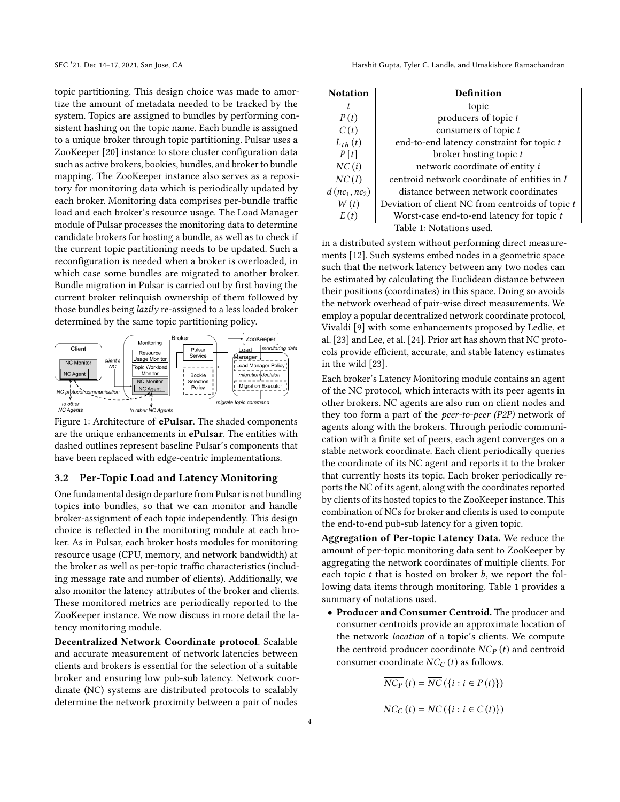topic partitioning. This design choice was made to amortize the amount of metadata needed to be tracked by the system. Topics are assigned to bundles by performing consistent hashing on the topic name. Each bundle is assigned to a unique broker through topic partitioning. Pulsar uses a ZooKeeper [20] instance to store cluster configuration data such as active brokers, bookies, bundles, and broker to bundle mapping. The ZooKeeper instance also serves as a repository for monitoring data which is periodically updated by each broker. Monitoring data comprises per-bundle traffic load and each broker's resource usage. The Load Manager module of Pulsar processes the monitoring data to determine candidate brokers for hosting a bundle, as well as to check if the current topic partitioning needs to be updated. Such a reconfiguration is needed when a broker is overloaded, in which case some bundles are migrated to another broker. Bundle migration in Pulsar is carried out by first having the current broker relinquish ownership of them followed by those bundles being lazily re-assigned to a less loaded broker determined by the same topic partitioning policy.





#### 3.2 Per-Topic Load and Latency Monitoring

One fundamental design departure from Pulsar is not bundling topics into bundles, so that we can monitor and handle broker-assignment of each topic independently. This design choice is reflected in the monitoring module at each broker. As in Pulsar, each broker hosts modules for monitoring resource usage (CPU, memory, and network bandwidth) at the broker as well as per-topic traffic characteristics (including message rate and number of clients). Additionally, we also monitor the latency attributes of the broker and clients. These monitored metrics are periodically reported to the ZooKeeper instance. We now discuss in more detail the latency monitoring module.

Decentralized Network Coordinate protocol. Scalable and accurate measurement of network latencies between clients and brokers is essential for the selection of a suitable broker and ensuring low pub-sub latency. Network coordinate (NC) systems are distributed protocols to scalably determine the network proximity between a pair of nodes

| <b>Notation</b>                          | Definition                                       |
|------------------------------------------|--------------------------------------------------|
| t.                                       | topic                                            |
| P(t)                                     | producers of topic t                             |
| C(t)                                     | consumers of topic t                             |
| $L_{th}(t)$                              | end-to-end latency constraint for topic t        |
| P[t]                                     | broker hosting topic t                           |
| NC(i)                                    | network coordinate of entity i                   |
| $\overline{NC}(I)$                       | centroid network coordinate of entities in I     |
| $d$ (nc <sub>1</sub> , nc <sub>2</sub> ) | distance between network coordinates             |
| W(t)                                     | Deviation of client NC from centroids of topic t |
| E(t)                                     | Worst-case end-to-end latency for topic t        |
| Table 1: Notations used.                 |                                                  |

in a distributed system without performing direct measurements [12]. Such systems embed nodes in a geometric space such that the network latency between any two nodes can be estimated by calculating the Euclidean distance between their positions (coordinates) in this space. Doing so avoids the network overhead of pair-wise direct measurements. We employ a popular decentralized network coordinate protocol, Vivaldi [9] with some enhancements proposed by Ledlie, et al. [23] and Lee, et al. [24]. Prior art has shown that NC protocols provide efficient, accurate, and stable latency estimates in the wild [23].

Each broker's Latency Monitoring module contains an agent of the NC protocol, which interacts with its peer agents in other brokers. NC agents are also run on client nodes and they too form a part of the peer-to-peer (P2P) network of agents along with the brokers. Through periodic communication with a finite set of peers, each agent converges on a stable network coordinate. Each client periodically queries the coordinate of its NC agent and reports it to the broker that currently hosts its topic. Each broker periodically reports the NC of its agent, along with the coordinates reported by clients of its hosted topics to the ZooKeeper instance. This combination of NCs for broker and clients is used to compute the end-to-end pub-sub latency for a given topic.

Aggregation of Per-topic Latency Data. We reduce the amount of per-topic monitoring data sent to ZooKeeper by aggregating the network coordinates of multiple clients. For each topic  $t$  that is hosted on broker  $b$ , we report the following data items through monitoring. Table 1 provides a summary of notations used.

• Producer and Consumer Centroid. The producer and consumer centroids provide an approximate location of the network location of a topic's clients. We compute the centroid producer coordinate  $\overline{NC_P}(t)$  and centroid consumer coordinate  $\overline{NC_C}(t)$  as follows.

$$
\overline{NC_P}(t) = \overline{NC}(\{i : i \in P(t)\})
$$

$$
\overline{NC_C}(t) = \overline{NC}(\{i : i \in C(t)\})
$$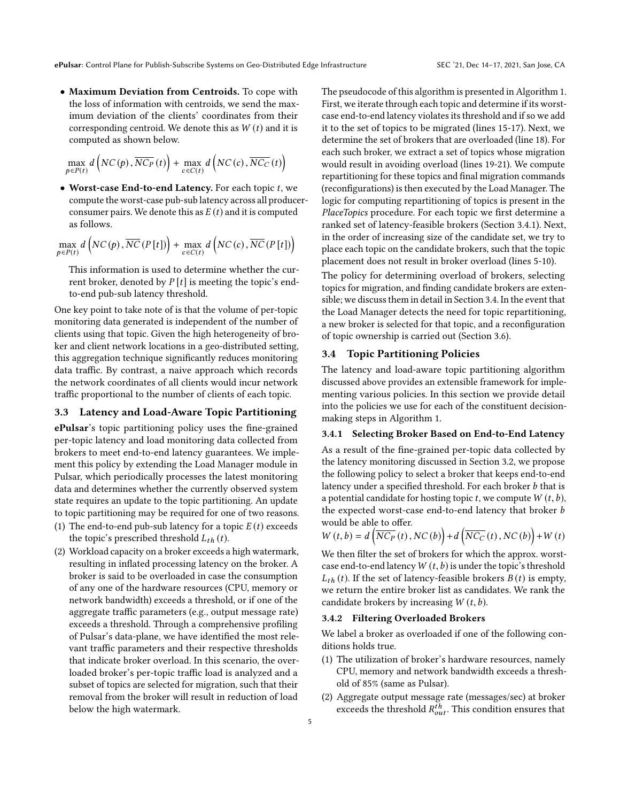• Maximum Deviation from Centroids. To cope with the loss of information with centroids, we send the maximum deviation of the clients' coordinates from their corresponding centroid. We denote this as  $W(t)$  and it is computed as shown below.

$$
\max_{p \in P(t)} d\left( NC(p), \overline{NC_P}(t) \right) + \max_{c \in C(t)} d\left( NC(c), \overline{NC_C}(t) \right)
$$

 $\bullet$  Worst-case End-to-end Latency. For each topic  $t$ , we compute the worst-case pub-sub latency across all producerconsumer pairs. We denote this as  $E(t)$  and it is computed as follows.

$$
\max_{p \in P(t)} d\left( NC(p), \overline{NC}\left(P[t]\right) \right) + \max_{c \in C(t)} d\left( NC(c), \overline{NC}\left(P[t]\right) \right)
$$

This information is used to determine whether the current broker, denoted by  $P[t]$  is meeting the topic's endto-end pub-sub latency threshold.

One key point to take note of is that the volume of per-topic monitoring data generated is independent of the number of clients using that topic. Given the high heterogeneity of broker and client network locations in a geo-distributed setting, this aggregation technique significantly reduces monitoring data traffic. By contrast, a naive approach which records the network coordinates of all clients would incur network traffic proportional to the number of clients of each topic.

#### 3.3 Latency and Load-Aware Topic Partitioning

ePulsar's topic partitioning policy uses the fine-grained per-topic latency and load monitoring data collected from brokers to meet end-to-end latency guarantees. We implement this policy by extending the Load Manager module in Pulsar, which periodically processes the latest monitoring data and determines whether the currently observed system state requires an update to the topic partitioning. An update to topic partitioning may be required for one of two reasons.

- (1) The end-to-end pub-sub latency for a topic  $E(t)$  exceeds the topic's prescribed threshold  $L_{th}(t)$ .
- (2) Workload capacity on a broker exceeds a high watermark, resulting in inflated processing latency on the broker. A broker is said to be overloaded in case the consumption of any one of the hardware resources (CPU, memory or network bandwidth) exceeds a threshold, or if one of the aggregate traffic parameters (e.g., output message rate) exceeds a threshold. Through a comprehensive profiling of Pulsar's data-plane, we have identified the most relevant traffic parameters and their respective thresholds that indicate broker overload. In this scenario, the overloaded broker's per-topic traffic load is analyzed and a subset of topics are selected for migration, such that their removal from the broker will result in reduction of load below the high watermark.

The pseudocode of this algorithm is presented in Algorithm 1. First, we iterate through each topic and determine if its worstcase end-to-end latency violates its threshold and if so we add it to the set of topics to be migrated (lines 15-17). Next, we determine the set of brokers that are overloaded (line 18). For each such broker, we extract a set of topics whose migration would result in avoiding overload (lines 19-21). We compute repartitioning for these topics and final migration commands (reconfigurations) is then executed by the Load Manager. The logic for computing repartitioning of topics is present in the PlaceTopics procedure. For each topic we first determine a ranked set of latency-feasible brokers (Section 3.4.1). Next, in the order of increasing size of the candidate set, we try to place each topic on the candidate brokers, such that the topic placement does not result in broker overload (lines 5-10).

The policy for determining overload of brokers, selecting topics for migration, and finding candidate brokers are extensible; we discuss them in detail in Section 3.4. In the event that the Load Manager detects the need for topic repartitioning, a new broker is selected for that topic, and a reconfiguration of topic ownership is carried out (Section 3.6).

#### 3.4 Topic Partitioning Policies

The latency and load-aware topic partitioning algorithm discussed above provides an extensible framework for implementing various policies. In this section we provide detail into the policies we use for each of the constituent decisionmaking steps in Algorithm 1.

## 3.4.1 Selecting Broker Based on End-to-End Latency

As a result of the fine-grained per-topic data collected by the latency monitoring discussed in Section 3.2, we propose the following policy to select a broker that keeps end-to-end latency under a specified threshold. For each broker b that is a potential candidate for hosting topic  $t$ , we compute  $W(t, b)$ , the expected worst-case end-to-end latency that broker b would be able to offer.

$$
W(t,b) = d\left(\overline{NC_P}(t), NC(b)\right) + d\left(\overline{NC_C}(t), NC(b)\right) + W(t)
$$

We then filter the set of brokers for which the approx. worstcase end-to-end latency  $W(t, b)$  is under the topic's threshold  $L_{th}$  (t). If the set of latency-feasible brokers  $B(t)$  is empty, we return the entire broker list as candidates. We rank the candidate brokers by increasing  $W(t, b)$ .

#### 3.4.2 Filtering Overloaded Brokers

We label a broker as overloaded if one of the following conditions holds true.

- (1) The utilization of broker's hardware resources, namely CPU, memory and network bandwidth exceeds a threshold of 85% (same as Pulsar).
- (2) Aggregate output message rate (messages/sec) at broker exceeds the threshold  $R_{out}^{\tilde{t}h}$ . This condition ensures that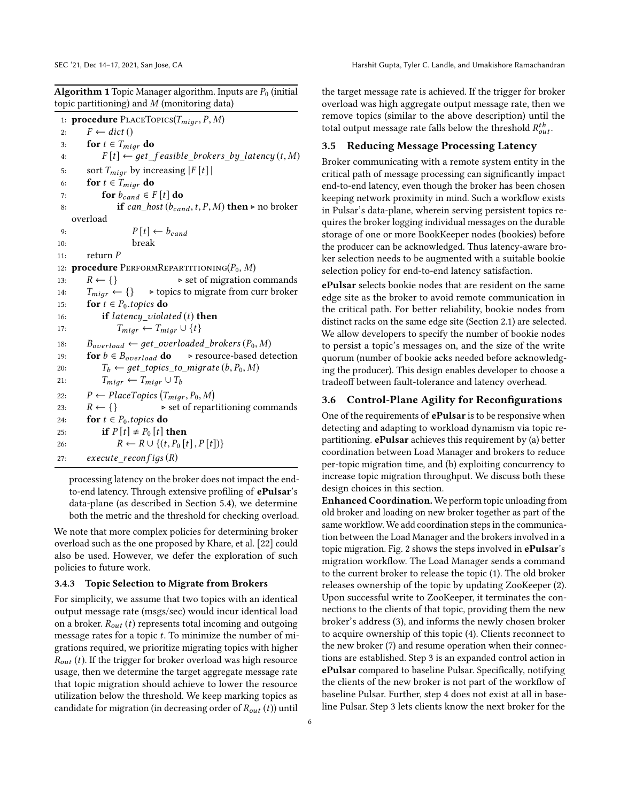**Algorithm 1** Topic Manager algorithm. Inputs are  $P_0$  (initial topic partitioning) and M (monitoring data)

1: **procedure** PLACETOPICS( $T_{migr}, P, M$ )<br>  $F \leftarrow dict()$ 2:  $F \leftarrow dict()$ <br>3: **for**  $t \in T_{\text{min}}$ 3: **for**  $t \in T_{migr}$  **do**<br>4:  $F[t] \leftarrow get$ 4:  $F[t] \leftarrow get\_feasible\_brokers\_by\_latency(t, M)$ <br>5: sort  $T_{min}$  by increasing  $|F[t]|$ 5: sort  $T_{migr}$  by increasing  $|F[t]|$ <br>6: **for**  $t \in T_{migr}$  **do** 6: **for**  $t \in T_{migr}$  **do**<br>7: **for**  $b_{cand} \in I$ 7: for  $b_{cand} \in F[t]$  do<br>8: if can host  $(b_{car})$ if can\_host ( $b_{cand}$ , t, P, M) then  $\triangleright$  no broker overload 9:  $P[t] \leftarrow b_{cand}$ <br>10: break break 11: return  $P$ <br>12: **procedure** ] 12: **procedure** PERFORMREPARTITIONING( $P_0$ ,  $M$ )<br>13:  $R \leftarrow \{\}$  > set of migration of 13:  $R \leftarrow \{\}$  > set of migration commands<br>14:  $T_{\text{miar}} \leftarrow \{\}$  > topics to migrate from curr broker 14:  $T_{migr} \leftarrow \{\}$   $\rightarrow$  topics to migrate from curr broker<br>15: **for**  $t \in P_0$ , *tonics* **do** 15: **for**  $t \in P_0$ .topics **do**<br>16: **if** latency viola 16: **if** latency\_violated (t) **then**<br>17:  $T_{\text{min}} \leftarrow T_{\text{min}} \cup \{t\}$ 17:  $T_{migr} \leftarrow T_{migr} \cup \{t\}$ <br>18:  $B_{\text{averload}} \leftarrow \text{aet overloaded}$ 18:  $B_{overload} \leftarrow get\_overloaded\_brokers(P_0, M)$ <br>19: **for**  $b \in B_{overload}$  **do**  $\triangleright$  resource-based det 19: **for**  $b \in B_{overload}$  **do**  $\triangleright$  resource-based detection<br>20:  $T_b \leftarrow get \text{ topics to migrate}(b, P_0, M)$ 20:  $T_b \leftarrow get\_topics_to_migrate (b, P_0, M)$ <br>
21:  $T_{min} \leftarrow T_{min} \cup T_b$ 21:  $T_{migr} \leftarrow T_{migr} \cup T_b$ <br>
22:  $P \leftarrow PlaceTopics (T_{migr})$ 22:  $P \leftarrow PlaceTopics(T_{migr}, P_0, M)$ <br>22:  $R \leftarrow \Omega$ 23:  $R \leftarrow \{\}$   $\triangleright$  set of repartitioning commands 24: for  $t \in P_0$ .topics do<br>25: if  $P[t] \neq P_0[t]$ 25: **if**  $P[t] \neq P_0[t]$  then<br>26:  $R \leftarrow R \cup \{(t, P_0[t]\})$ 26:  $R \leftarrow R \cup \{(t, P_0[t], P[t])\}$ <br>27: execute reconfias (R)  $execute$  recon  $figs (R)$ 

processing latency on the broker does not impact the endto-end latency. Through extensive profiling of ePulsar's data-plane (as described in Section 5.4), we determine both the metric and the threshold for checking overload.

We note that more complex policies for determining broker overload such as the one proposed by Khare, et al. [22] could also be used. However, we defer the exploration of such policies to future work.

#### 3.4.3 Topic Selection to Migrate from Brokers

For simplicity, we assume that two topics with an identical output message rate (msgs/sec) would incur identical load on a broker.  $R_{out}$  (t) represents total incoming and outgoing message rates for a topic  $t$ . To minimize the number of migrations required, we prioritize migrating topics with higher  $R_{out}$  (t). If the trigger for broker overload was high resource usage, then we determine the target aggregate message rate that topic migration should achieve to lower the resource utilization below the threshold. We keep marking topics as candidate for migration (in decreasing order of  $R_{out}(t)$ ) until

the target message rate is achieved. If the trigger for broker overload was high aggregate output message rate, then we remove topics (similar to the above description) until the total output message rate falls below the threshold  $R_{out}^{th}$ .

#### 3.5 Reducing Message Processing Latency

Broker communicating with a remote system entity in the critical path of message processing can significantly impact end-to-end latency, even though the broker has been chosen keeping network proximity in mind. Such a workflow exists in Pulsar's data-plane, wherein serving persistent topics requires the broker logging individual messages on the durable storage of one or more BookKeeper nodes (bookies) before the producer can be acknowledged. Thus latency-aware broker selection needs to be augmented with a suitable bookie selection policy for end-to-end latency satisfaction.

ePulsar selects bookie nodes that are resident on the same edge site as the broker to avoid remote communication in the critical path. For better reliability, bookie nodes from distinct racks on the same edge site (Section 2.1) are selected. We allow developers to specify the number of bookie nodes to persist a topic's messages on, and the size of the write quorum (number of bookie acks needed before acknowledging the producer). This design enables developer to choose a tradeoff between fault-tolerance and latency overhead.

### 3.6 Control-Plane Agility for Reconfigurations

One of the requirements of **ePulsar** is to be responsive when detecting and adapting to workload dynamism via topic repartitioning. ePulsar achieves this requirement by (a) better coordination between Load Manager and brokers to reduce per-topic migration time, and (b) exploiting concurrency to increase topic migration throughput. We discuss both these design choices in this section.

Enhanced Coordination. We perform topic unloading from old broker and loading on new broker together as part of the same workflow. We add coordination steps in the communication between the Load Manager and the brokers involved in a topic migration. Fig. 2 shows the steps involved in ePulsar's migration workflow. The Load Manager sends a command to the current broker to release the topic (1). The old broker releases ownership of the topic by updating ZooKeeper (2). Upon successful write to ZooKeeper, it terminates the connections to the clients of that topic, providing them the new broker's address (3), and informs the newly chosen broker to acquire ownership of this topic (4). Clients reconnect to the new broker (7) and resume operation when their connections are established. Step 3 is an expanded control action in ePulsar compared to baseline Pulsar. Specifically, notifying the clients of the new broker is not part of the workflow of baseline Pulsar. Further, step 4 does not exist at all in baseline Pulsar. Step 3 lets clients know the next broker for the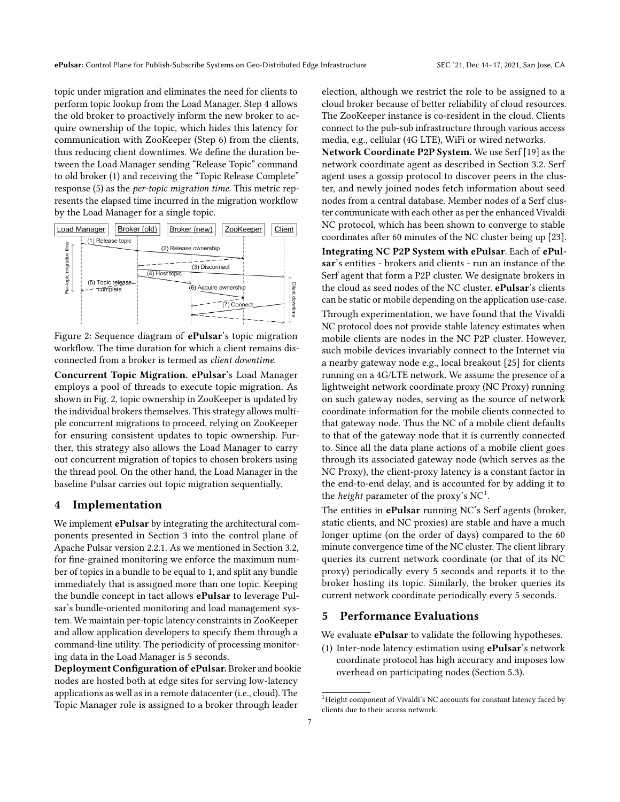topic under migration and eliminates the need for clients to perform topic lookup from the Load Manager. Step 4 allows the old broker to proactively inform the new broker to acquire ownership of the topic, which hides this latency for communication with ZooKeeper (Step 6) from the clients, thus reducing client downtimes. We define the duration between the Load Manager sending "Release Topic" command to old broker (1) and receiving the "Topic Release Complete" response (5) as the per-topic migration time. This metric represents the elapsed time incurred in the migration workflow by the Load Manager for a single topic.



Figure 2: Sequence diagram of **ePulsar**'s topic migration workflow. The time duration for which a client remains disconnected from a broker is termed as client downtime.

Concurrent Topic Migration. ePulsar's Load Manager employs a pool of threads to execute topic migration. As shown in Fig. 2, topic ownership in ZooKeeper is updated by the individual brokers themselves. This strategy allows multiple concurrent migrations to proceed, relying on ZooKeeper for ensuring consistent updates to topic ownership. Further, this strategy also allows the Load Manager to carry out concurrent migration of topics to chosen brokers using the thread pool. On the other hand, the Load Manager in the baseline Pulsar carries out topic migration sequentially.

#### 4 Implementation

We implement **ePulsar** by integrating the architectural components presented in Section 3 into the control plane of Apache Pulsar version 2.2.1. As we mentioned in Section 3.2, for fine-grained monitoring we enforce the maximum number of topics in a bundle to be equal to 1, and split any bundle immediately that is assigned more than one topic. Keeping the bundle concept in tact allows ePulsar to leverage Pulsar's bundle-oriented monitoring and load management system. We maintain per-topic latency constraints in ZooKeeper and allow application developers to specify them through a command-line utility. The periodicity of processing monitoring data in the Load Manager is 5 seconds.

Deployment Configuration of ePulsar. Broker and bookie nodes are hosted both at edge sites for serving low-latency applications as well as in a remote datacenter (i.e., cloud). The Topic Manager role is assigned to a broker through leader

election, although we restrict the role to be assigned to a cloud broker because of better reliability of cloud resources. The ZooKeeper instance is co-resident in the cloud. Clients connect to the pub-sub infrastructure through various access media, e.g., cellular (4G LTE), WiFi or wired networks.

Network Coordinate P2P System. We use Serf [19] as the network coordinate agent as described in Section 3.2. Serf agent uses a gossip protocol to discover peers in the cluster, and newly joined nodes fetch information about seed nodes from a central database. Member nodes of a Serf cluster communicate with each other as per the enhanced Vivaldi NC protocol, which has been shown to converge to stable coordinates after 60 minutes of the NC cluster being up [23].

Integrating NC P2P System with ePulsar. Each of ePulsar's entities - brokers and clients - run an instance of the Serf agent that form a P2P cluster. We designate brokers in the cloud as seed nodes of the NC cluster. ePulsar's clients can be static or mobile depending on the application use-case. Through experimentation, we have found that the Vivaldi NC protocol does not provide stable latency estimates when mobile clients are nodes in the NC P2P cluster. However, such mobile devices invariably connect to the Internet via a nearby gateway node e.g., local breakout [25] for clients running on a 4G/LTE network. We assume the presence of a lightweight network coordinate proxy (NC Proxy) running on such gateway nodes, serving as the source of network coordinate information for the mobile clients connected to that gateway node. Thus the NC of a mobile client defaults to that of the gateway node that it is currently connected to. Since all the data plane actions of a mobile client goes through its associated gateway node (which serves as the NC Proxy), the client-proxy latency is a constant factor in the end-to-end delay, and is accounted for by adding it to the *height* parameter of the proxy's  $NC<sup>1</sup>$ .

The entities in **ePulsar** running NC's Serf agents (broker, static clients, and NC proxies) are stable and have a much longer uptime (on the order of days) compared to the 60 minute convergence time of the NC cluster. The client library queries its current network coordinate (or that of its NC proxy) periodically every 5 seconds and reports it to the broker hosting its topic. Similarly, the broker queries its current network coordinate periodically every 5 seconds.

## 5 Performance Evaluations

We evaluate **ePulsar** to validate the following hypotheses.

(1) Inter-node latency estimation using ePulsar's network coordinate protocol has high accuracy and imposes low overhead on participating nodes (Section 5.3).

 $^{1}$  Height component of Vivaldi's NC accounts for constant latency faced by clients due to their access network.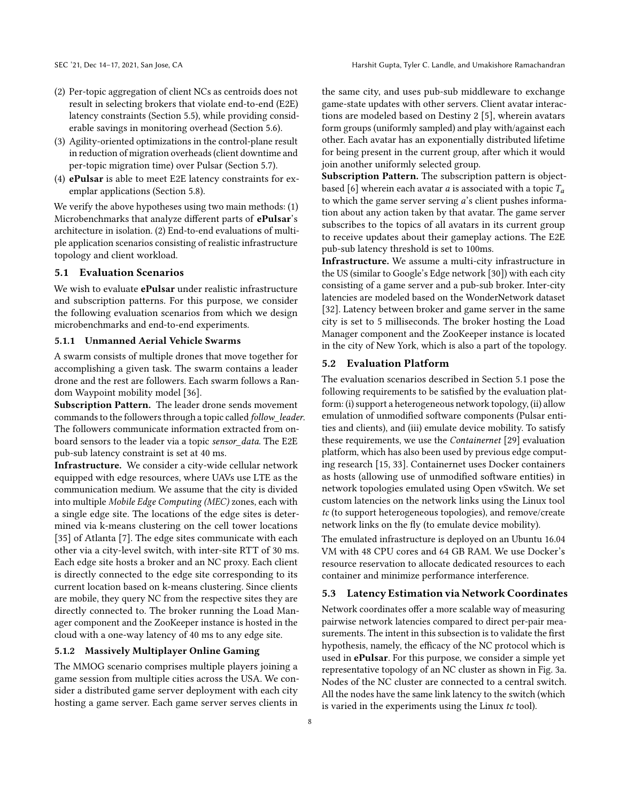- (2) Per-topic aggregation of client NCs as centroids does not result in selecting brokers that violate end-to-end (E2E) latency constraints (Section 5.5), while providing considerable savings in monitoring overhead (Section 5.6).
- (3) Agility-oriented optimizations in the control-plane result in reduction of migration overheads (client downtime and per-topic migration time) over Pulsar (Section 5.7).
- (4) ePulsar is able to meet E2E latency constraints for exemplar applications (Section 5.8).

We verify the above hypotheses using two main methods: (1) Microbenchmarks that analyze different parts of ePulsar's architecture in isolation. (2) End-to-end evaluations of multiple application scenarios consisting of realistic infrastructure topology and client workload.

## 5.1 Evaluation Scenarios

We wish to evaluate **ePulsar** under realistic infrastructure and subscription patterns. For this purpose, we consider the following evaluation scenarios from which we design microbenchmarks and end-to-end experiments.

#### 5.1.1 Unmanned Aerial Vehicle Swarms

A swarm consists of multiple drones that move together for accomplishing a given task. The swarm contains a leader drone and the rest are followers. Each swarm follows a Random Waypoint mobility model [36].

Subscription Pattern. The leader drone sends movement commands to the followers through a topic called follow\_leader. The followers communicate information extracted from onboard sensors to the leader via a topic sensor data. The E2E pub-sub latency constraint is set at 40 ms.

Infrastructure. We consider a city-wide cellular network equipped with edge resources, where UAVs use LTE as the communication medium. We assume that the city is divided into multiple Mobile Edge Computing (MEC) zones, each with a single edge site. The locations of the edge sites is determined via k-means clustering on the cell tower locations [35] of Atlanta [7]. The edge sites communicate with each other via a city-level switch, with inter-site RTT of 30 ms. Each edge site hosts a broker and an NC proxy. Each client is directly connected to the edge site corresponding to its current location based on k-means clustering. Since clients are mobile, they query NC from the respective sites they are directly connected to. The broker running the Load Manager component and the ZooKeeper instance is hosted in the cloud with a one-way latency of 40 ms to any edge site.

# 5.1.2 Massively Multiplayer Online Gaming

The MMOG scenario comprises multiple players joining a game session from multiple cities across the USA. We consider a distributed game server deployment with each city hosting a game server. Each game server serves clients in

the same city, and uses pub-sub middleware to exchange game-state updates with other servers. Client avatar interactions are modeled based on Destiny 2 [5], wherein avatars form groups (uniformly sampled) and play with/against each other. Each avatar has an exponentially distributed lifetime for being present in the current group, after which it would join another uniformly selected group.

Subscription Pattern. The subscription pattern is objectbased [6] wherein each avatar *a* is associated with a topic  $T_a$ to which the game server serving a's client pushes information about any action taken by that avatar. The game server subscribes to the topics of all avatars in its current group to receive updates about their gameplay actions. The E2E pub-sub latency threshold is set to 100ms.

Infrastructure. We assume a multi-city infrastructure in the US (similar to Google's Edge network [30]) with each city consisting of a game server and a pub-sub broker. Inter-city latencies are modeled based on the WonderNetwork dataset [32]. Latency between broker and game server in the same city is set to 5 milliseconds. The broker hosting the Load Manager component and the ZooKeeper instance is located in the city of New York, which is also a part of the topology.

#### 5.2 Evaluation Platform

The evaluation scenarios described in Section 5.1 pose the following requirements to be satisfied by the evaluation platform: (i) support a heterogeneous network topology, (ii) allow emulation of unmodified software components (Pulsar entities and clients), and (iii) emulate device mobility. To satisfy these requirements, we use the Containernet [29] evaluation platform, which has also been used by previous edge computing research [15, 33]. Containernet uses Docker containers as hosts (allowing use of unmodified software entities) in network topologies emulated using Open vSwitch. We set custom latencies on the network links using the Linux tool tc (to support heterogeneous topologies), and remove/create network links on the fly (to emulate device mobility).

The emulated infrastructure is deployed on an Ubuntu 16.04 VM with 48 CPU cores and 64 GB RAM. We use Docker's resource reservation to allocate dedicated resources to each container and minimize performance interference.

#### 5.3 Latency Estimation via Network Coordinates

Network coordinates offer a more scalable way of measuring pairwise network latencies compared to direct per-pair measurements. The intent in this subsection is to validate the first hypothesis, namely, the efficacy of the NC protocol which is used in ePulsar. For this purpose, we consider a simple yet representative topology of an NC cluster as shown in Fig. 3a. Nodes of the NC cluster are connected to a central switch. All the nodes have the same link latency to the switch (which is varied in the experiments using the Linux tc tool).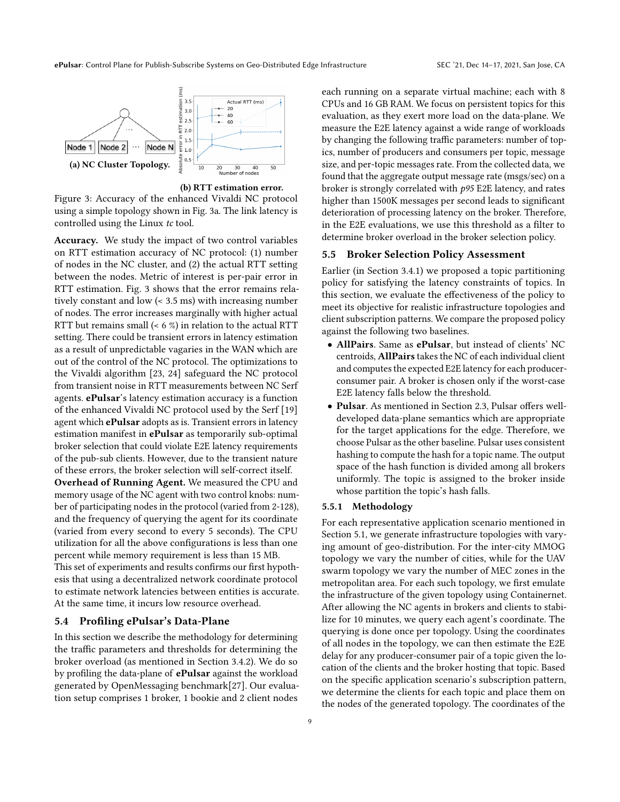ePulsar: Control Plane for Publish-Subscribe Systems on Geo-Distributed Edge Infrastructure SEC '21, Dec 14–17, 2021, San Jose, CA



(b) RTT estimation error.

Figure 3: Accuracy of the enhanced Vivaldi NC protocol using a simple topology shown in Fig. 3a. The link latency is controlled using the Linux tc tool.

Accuracy. We study the impact of two control variables on RTT estimation accuracy of NC protocol: (1) number of nodes in the NC cluster, and (2) the actual RTT setting between the nodes. Metric of interest is per-pair error in RTT estimation. Fig. 3 shows that the error remains relatively constant and low (< 3.5 ms) with increasing number of nodes. The error increases marginally with higher actual RTT but remains small (< 6 %) in relation to the actual RTT setting. There could be transient errors in latency estimation as a result of unpredictable vagaries in the WAN which are out of the control of the NC protocol. The optimizations to the Vivaldi algorithm [23, 24] safeguard the NC protocol from transient noise in RTT measurements between NC Serf agents. ePulsar's latency estimation accuracy is a function of the enhanced Vivaldi NC protocol used by the Serf [19] agent which ePulsar adopts as is. Transient errors in latency estimation manifest in ePulsar as temporarily sub-optimal broker selection that could violate E2E latency requirements of the pub-sub clients. However, due to the transient nature of these errors, the broker selection will self-correct itself.

Overhead of Running Agent. We measured the CPU and memory usage of the NC agent with two control knobs: number of participating nodes in the protocol (varied from 2-128), and the frequency of querying the agent for its coordinate (varied from every second to every 5 seconds). The CPU utilization for all the above configurations is less than one percent while memory requirement is less than 15 MB.

This set of experiments and results confirms our first hypothesis that using a decentralized network coordinate protocol to estimate network latencies between entities is accurate. At the same time, it incurs low resource overhead.

#### 5.4 Profiling ePulsar's Data-Plane

In this section we describe the methodology for determining the traffic parameters and thresholds for determining the broker overload (as mentioned in Section 3.4.2). We do so by profiling the data-plane of ePulsar against the workload generated by OpenMessaging benchmark[27]. Our evaluation setup comprises 1 broker, 1 bookie and 2 client nodes

each running on a separate virtual machine; each with 8 CPUs and 16 GB RAM. We focus on persistent topics for this evaluation, as they exert more load on the data-plane. We measure the E2E latency against a wide range of workloads by changing the following traffic parameters: number of topics, number of producers and consumers per topic, message size, and per-topic messages rate. From the collected data, we found that the aggregate output message rate (msgs/sec) on a broker is strongly correlated with p95 E2E latency, and rates higher than 1500K messages per second leads to significant deterioration of processing latency on the broker. Therefore, in the E2E evaluations, we use this threshold as a filter to determine broker overload in the broker selection policy.

## 5.5 Broker Selection Policy Assessment

Earlier (in Section 3.4.1) we proposed a topic partitioning policy for satisfying the latency constraints of topics. In this section, we evaluate the effectiveness of the policy to meet its objective for realistic infrastructure topologies and client subscription patterns. We compare the proposed policy against the following two baselines.

- AllPairs. Same as ePulsar, but instead of clients' NC centroids, AllPairs takes the NC of each individual client and computes the expected E2E latency for each producerconsumer pair. A broker is chosen only if the worst-case E2E latency falls below the threshold.
- Pulsar. As mentioned in Section 2.3, Pulsar offers welldeveloped data-plane semantics which are appropriate for the target applications for the edge. Therefore, we choose Pulsar as the other baseline. Pulsar uses consistent hashing to compute the hash for a topic name. The output space of the hash function is divided among all brokers uniformly. The topic is assigned to the broker inside whose partition the topic's hash falls.

#### 5.5.1 Methodology

For each representative application scenario mentioned in Section 5.1, we generate infrastructure topologies with varying amount of geo-distribution. For the inter-city MMOG topology we vary the number of cities, while for the UAV swarm topology we vary the number of MEC zones in the metropolitan area. For each such topology, we first emulate the infrastructure of the given topology using Containernet. After allowing the NC agents in brokers and clients to stabilize for 10 minutes, we query each agent's coordinate. The querying is done once per topology. Using the coordinates of all nodes in the topology, we can then estimate the E2E delay for any producer-consumer pair of a topic given the location of the clients and the broker hosting that topic. Based on the specific application scenario's subscription pattern, we determine the clients for each topic and place them on the nodes of the generated topology. The coordinates of the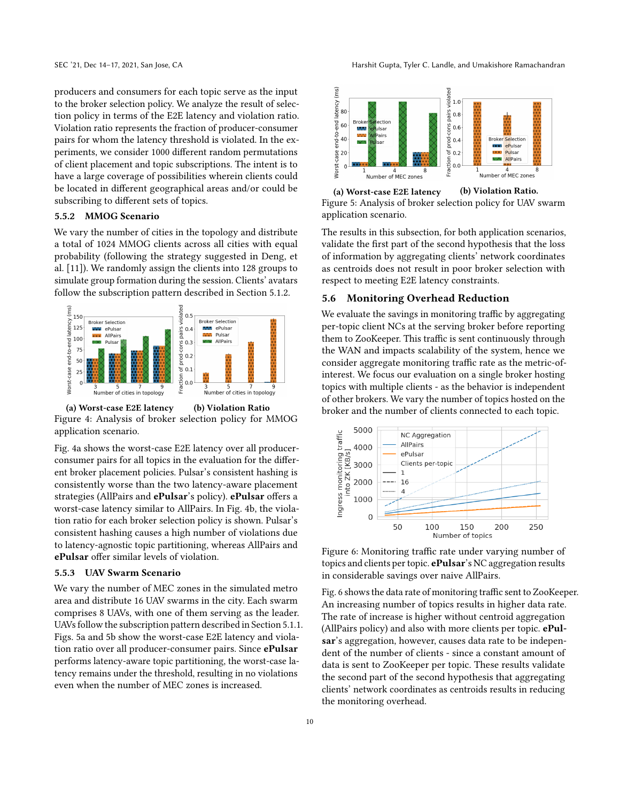producers and consumers for each topic serve as the input to the broker selection policy. We analyze the result of selection policy in terms of the E2E latency and violation ratio. Violation ratio represents the fraction of producer-consumer pairs for whom the latency threshold is violated. In the experiments, we consider 1000 different random permutations of client placement and topic subscriptions. The intent is to have a large coverage of possibilities wherein clients could be located in different geographical areas and/or could be subscribing to different sets of topics.

#### 5.5.2 MMOG Scenario

We vary the number of cities in the topology and distribute a total of 1024 MMOG clients across all cities with equal probability (following the strategy suggested in Deng, et al. [11]). We randomly assign the clients into 128 groups to simulate group formation during the session. Clients' avatars follow the subscription pattern described in Section 5.1.2.



(a) Worst-case E2E latency (b) Violation Ratio Figure 4: Analysis of broker selection policy for MMOG application scenario.

Fig. 4a shows the worst-case E2E latency over all producerconsumer pairs for all topics in the evaluation for the different broker placement policies. Pulsar's consistent hashing is consistently worse than the two latency-aware placement strategies (AllPairs and ePulsar's policy). ePulsar offers a worst-case latency similar to AllPairs. In Fig. 4b, the violation ratio for each broker selection policy is shown. Pulsar's consistent hashing causes a high number of violations due to latency-agnostic topic partitioning, whereas AllPairs and ePulsar offer similar levels of violation.

#### 5.5.3 UAV Swarm Scenario

We vary the number of MEC zones in the simulated metro area and distribute 16 UAV swarms in the city. Each swarm comprises 8 UAVs, with one of them serving as the leader. UAVs follow the subscription pattern described in Section 5.1.1. Figs. 5a and 5b show the worst-case E2E latency and violation ratio over all producer-consumer pairs. Since ePulsar performs latency-aware topic partitioning, the worst-case latency remains under the threshold, resulting in no violations even when the number of MEC zones is increased.



Figure 5: Analysis of broker selection policy for UAV swarm application scenario.

The results in this subsection, for both application scenarios, validate the first part of the second hypothesis that the loss of information by aggregating clients' network coordinates as centroids does not result in poor broker selection with respect to meeting E2E latency constraints.

#### 5.6 Monitoring Overhead Reduction

We evaluate the savings in monitoring traffic by aggregating per-topic client NCs at the serving broker before reporting them to ZooKeeper. This traffic is sent continuously through the WAN and impacts scalability of the system, hence we consider aggregate monitoring traffic rate as the metric-ofinterest. We focus our evaluation on a single broker hosting topics with multiple clients - as the behavior is independent of other brokers. We vary the number of topics hosted on the broker and the number of clients connected to each topic.



Figure 6: Monitoring traffic rate under varying number of topics and clients per topic. ePulsar's NC aggregation results in considerable savings over naive AllPairs.

Fig. 6 shows the data rate of monitoring traffic sent to ZooKeeper. An increasing number of topics results in higher data rate. The rate of increase is higher without centroid aggregation (AllPairs policy) and also with more clients per topic. ePulsar's aggregation, however, causes data rate to be independent of the number of clients - since a constant amount of data is sent to ZooKeeper per topic. These results validate the second part of the second hypothesis that aggregating clients' network coordinates as centroids results in reducing the monitoring overhead.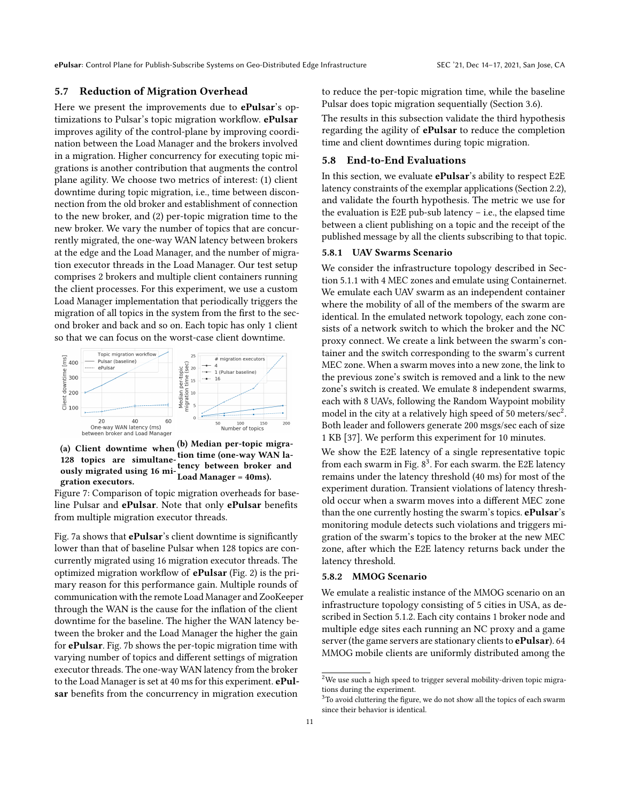ePulsar: Control Plane for Publish-Subscribe Systems on Geo-Distributed Edge Infrastructure SEC '21, Dec 14-17, 2021, San Jose, CA

## 5.7 Reduction of Migration Overhead

Here we present the improvements due to **ePulsar**'s optimizations to Pulsar's topic migration workflow. ePulsar improves agility of the control-plane by improving coordination between the Load Manager and the brokers involved in a migration. Higher concurrency for executing topic migrations is another contribution that augments the control plane agility. We choose two metrics of interest: (1) client downtime during topic migration, i.e., time between disconnection from the old broker and establishment of connection to the new broker, and (2) per-topic migration time to the new broker. We vary the number of topics that are concurrently migrated, the one-way WAN latency between brokers at the edge and the Load Manager, and the number of migration executor threads in the Load Manager. Our test setup comprises 2 brokers and multiple client containers running the client processes. For this experiment, we use a custom Load Manager implementation that periodically triggers the migration of all topics in the system from the first to the second broker and back and so on. Each topic has only 1 client so that we can focus on the worst-case client downtime.



(a) Client downtime when  $(b)$  Median per-topic migra-128 topics are simultaneously migrated using 16 migration executors. tion time (one-way WAN latency between broker and Load Manager = 40ms).

Figure 7: Comparison of topic migration overheads for baseline Pulsar and ePulsar. Note that only ePulsar benefits from multiple migration executor threads.

Fig. 7a shows that **ePulsar**'s client downtime is significantly lower than that of baseline Pulsar when 128 topics are concurrently migrated using 16 migration executor threads. The optimized migration workflow of ePulsar (Fig. 2) is the primary reason for this performance gain. Multiple rounds of communication with the remote Load Manager and ZooKeeper through the WAN is the cause for the inflation of the client downtime for the baseline. The higher the WAN latency between the broker and the Load Manager the higher the gain for ePulsar. Fig. 7b shows the per-topic migration time with varying number of topics and different settings of migration executor threads. The one-way WAN latency from the broker to the Load Manager is set at 40 ms for this experiment. ePulsar benefits from the concurrency in migration execution

to reduce the per-topic migration time, while the baseline Pulsar does topic migration sequentially (Section 3.6).

The results in this subsection validate the third hypothesis regarding the agility of **ePulsar** to reduce the completion time and client downtimes during topic migration.

#### 5.8 End-to-End Evaluations

In this section, we evaluate **ePulsar**'s ability to respect E2E latency constraints of the exemplar applications (Section 2.2), and validate the fourth hypothesis. The metric we use for the evaluation is E2E pub-sub latency  $-$  i.e., the elapsed time between a client publishing on a topic and the receipt of the published message by all the clients subscribing to that topic.

## 5.8.1 UAV Swarms Scenario

We consider the infrastructure topology described in Section 5.1.1 with 4 MEC zones and emulate using Containernet. We emulate each UAV swarm as an independent container where the mobility of all of the members of the swarm are identical. In the emulated network topology, each zone consists of a network switch to which the broker and the NC proxy connect. We create a link between the swarm's container and the switch corresponding to the swarm's current MEC zone. When a swarm moves into a new zone, the link to the previous zone's switch is removed and a link to the new zone's switch is created. We emulate 8 independent swarms, each with 8 UAVs, following the Random Waypoint mobility model in the city at a relatively high speed of 50 meters/sec<sup>2</sup>. Both leader and followers generate 200 msgs/sec each of size 1 KB [37]. We perform this experiment for 10 minutes.

We show the E2E latency of a single representative topic from each swarm in Fig.  $8^3$ . For each swarm, the E2E latency remains under the latency threshold (40 ms) for most of the experiment duration. Transient violations of latency threshold occur when a swarm moves into a different MEC zone than the one currently hosting the swarm's topics. ePulsar's monitoring module detects such violations and triggers migration of the swarm's topics to the broker at the new MEC zone, after which the E2E latency returns back under the latency threshold.

#### 5.8.2 MMOG Scenario

We emulate a realistic instance of the MMOG scenario on an infrastructure topology consisting of 5 cities in USA, as described in Section 5.1.2. Each city contains 1 broker node and multiple edge sites each running an NC proxy and a game server (the game servers are stationary clients to ePulsar). 64 MMOG mobile clients are uniformly distributed among the

 $^{2}$ We use such a high speed to trigger several mobility-driven topic migrations during the experiment.

 ${}^{3}{\rm To}$  avoid cluttering the figure, we do not show all the topics of each swarm since their behavior is identical.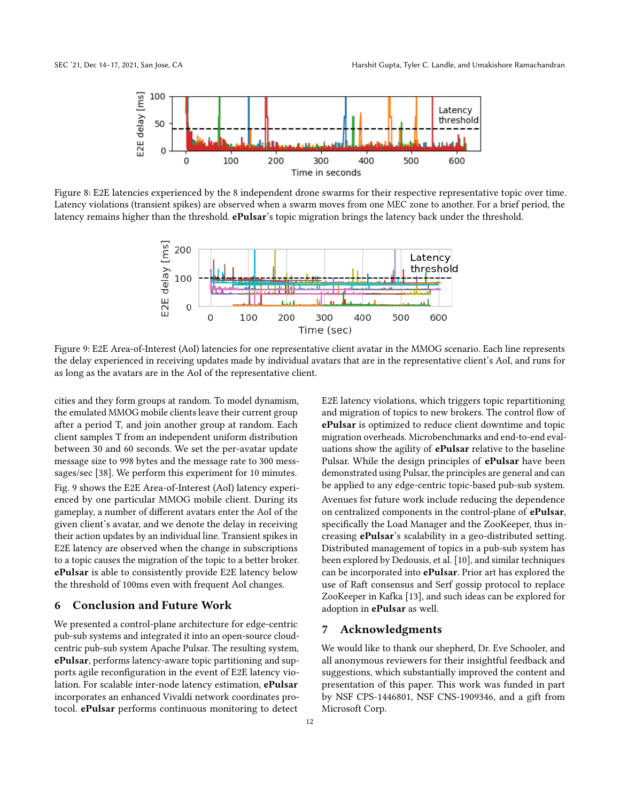

Figure 8: E2E latencies experienced by the 8 independent drone swarms for their respective representative topic over time. Latency violations (transient spikes) are observed when a swarm moves from one MEC zone to another. For a brief period, the latency remains higher than the threshold. ePulsar's topic migration brings the latency back under the threshold.



Figure 9: E2E Area-of-Interest (AoI) latencies for one representative client avatar in the MMOG scenario. Each line represents the delay experienced in receiving updates made by individual avatars that are in the representative client's AoI, and runs for as long as the avatars are in the AoI of the representative client.

cities and they form groups at random. To model dynamism, the emulated MMOG mobile clients leave their current group after a period T, and join another group at random. Each client samples T from an independent uniform distribution between 30 and 60 seconds. We set the per-avatar update message size to 998 bytes and the message rate to 300 messsages/sec [38]. We perform this experiment for 10 minutes. Fig. 9 shows the E2E Area-of-Interest (AoI) latency experienced by one particular MMOG mobile client. During its gameplay, a number of different avatars enter the AoI of the given client's avatar, and we denote the delay in receiving their action updates by an individual line. Transient spikes in E2E latency are observed when the change in subscriptions to a topic causes the migration of the topic to a better broker. ePulsar is able to consistently provide E2E latency below the threshold of 100ms even with frequent AoI changes.

## 6 Conclusion and Future Work

We presented a control-plane architecture for edge-centric pub-sub systems and integrated it into an open-source cloudcentric pub-sub system Apache Pulsar. The resulting system, ePulsar, performs latency-aware topic partitioning and supports agile reconfiguration in the event of E2E latency violation. For scalable inter-node latency estimation, ePulsar incorporates an enhanced Vivaldi network coordinates protocol. ePulsar performs continuous monitoring to detect

E2E latency violations, which triggers topic repartitioning and migration of topics to new brokers. The control flow of ePulsar is optimized to reduce client downtime and topic migration overheads. Microbenchmarks and end-to-end evaluations show the agility of **ePulsar** relative to the baseline Pulsar. While the design principles of ePulsar have been demonstrated using Pulsar, the principles are general and can be applied to any edge-centric topic-based pub-sub system. Avenues for future work include reducing the dependence on centralized components in the control-plane of ePulsar, specifically the Load Manager and the ZooKeeper, thus increasing ePulsar's scalability in a geo-distributed setting. Distributed management of topics in a pub-sub system has been explored by Dedousis, et al. [10], and similar techniques can be incorporated into ePulsar. Prior art has explored the use of Raft consensus and Serf gossip protocol to replace ZooKeeper in Kafka [13], and such ideas can be explored for adoption in ePulsar as well.

# 7 Acknowledgments

We would like to thank our shepherd, Dr. Eve Schooler, and all anonymous reviewers for their insightful feedback and suggestions, which substantially improved the content and presentation of this paper. This work was funded in part by NSF CPS-1446801, NSF CNS-1909346, and a gift from Microsoft Corp.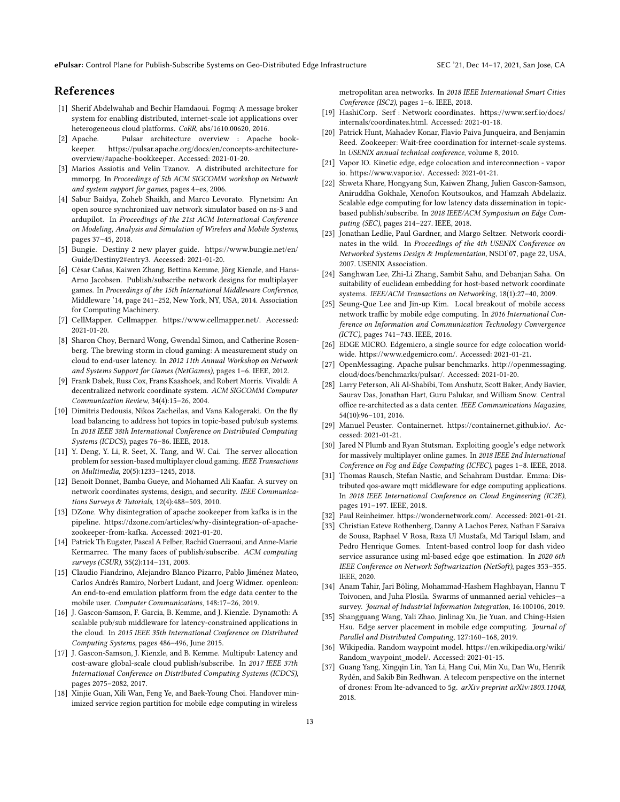ePulsar: Control Plane for Publish-Subscribe Systems on Geo-Distributed Edge Infrastructure SEC '21, Dec 14-17, 2021, San Jose, CA

## References

- [1] Sherif Abdelwahab and Bechir Hamdaoui. Fogmq: A message broker system for enabling distributed, internet-scale iot applications over heterogeneous cloud platforms. CoRR, abs/1610.00620, 2016.
- [2] Apache. Pulsar architecture overview : Apache bookkeeper. https://pulsar.apache.org/docs/en/concepts-architectureoverview/#apache-bookkeeper. Accessed: 2021-01-20.
- [3] Marios Assiotis and Velin Tzanov. A distributed architecture for mmorpg. In Proceedings of 5th ACM SIGCOMM workshop on Network and system support for games, pages 4–es, 2006.
- [4] Sabur Baidya, Zoheb Shaikh, and Marco Levorato. Flynetsim: An open source synchronized uav network simulator based on ns-3 and ardupilot. In Proceedings of the 21st ACM International Conference on Modeling, Analysis and Simulation of Wireless and Mobile Systems, pages 37–45, 2018.
- [5] Bungie. Destiny 2 new player guide. https://www.bungie.net/en/ Guide/Destiny2#entry3. Accessed: 2021-01-20.
- [6] César Cañas, Kaiwen Zhang, Bettina Kemme, Jörg Kienzle, and Hans-Arno Jacobsen. Publish/subscribe network designs for multiplayer games. In Proceedings of the 15th International Middleware Conference, Middleware '14, page 241–252, New York, NY, USA, 2014. Association for Computing Machinery.
- [7] CellMapper. Cellmapper. https://www.cellmapper.net/. Accessed: 2021-01-20.
- [8] Sharon Choy, Bernard Wong, Gwendal Simon, and Catherine Rosenberg. The brewing storm in cloud gaming: A measurement study on cloud to end-user latency. In 2012 11th Annual Workshop on Network and Systems Support for Games (NetGames), pages 1–6. IEEE, 2012.
- [9] Frank Dabek, Russ Cox, Frans Kaashoek, and Robert Morris. Vivaldi: A decentralized network coordinate system. ACM SIGCOMM Computer Communication Review, 34(4):15–26, 2004.
- [10] Dimitris Dedousis, Nikos Zacheilas, and Vana Kalogeraki. On the fly load balancing to address hot topics in topic-based pub/sub systems. In 2018 IEEE 38th International Conference on Distributed Computing Systems (ICDCS), pages 76–86. IEEE, 2018.
- [11] Y. Deng, Y. Li, R. Seet, X. Tang, and W. Cai. The server allocation problem for session-based multiplayer cloud gaming. IEEE Transactions on Multimedia, 20(5):1233–1245, 2018.
- [12] Benoit Donnet, Bamba Gueye, and Mohamed Ali Kaafar. A survey on network coordinates systems, design, and security. IEEE Communications Surveys & Tutorials, 12(4):488–503, 2010.
- [13] DZone. Why disintegration of apache zookeeper from kafka is in the pipeline. https://dzone.com/articles/why-disintegration-of-apachezookeeper-from-kafka. Accessed: 2021-01-20.
- [14] Patrick Th Eugster, Pascal A Felber, Rachid Guerraoui, and Anne-Marie Kermarrec. The many faces of publish/subscribe. ACM computing surveys (CSUR), 35(2):114–131, 2003.
- [15] Claudio Fiandrino, Alejandro Blanco Pizarro, Pablo Jiménez Mateo, Carlos Andrés Ramiro, Norbert Ludant, and Joerg Widmer. openleon: An end-to-end emulation platform from the edge data center to the mobile user. Computer Communications, 148:17–26, 2019.
- [16] J. Gascon-Samson, F. Garcia, B. Kemme, and J. Kienzle. Dynamoth: A scalable pub/sub middleware for latency-constrained applications in the cloud. In 2015 IEEE 35th International Conference on Distributed Computing Systems, pages 486–496, June 2015.
- [17] J. Gascon-Samson, J. Kienzle, and B. Kemme. Multipub: Latency and cost-aware global-scale cloud publish/subscribe. In 2017 IEEE 37th International Conference on Distributed Computing Systems (ICDCS), pages 2075–2082, 2017.
- [18] Xinjie Guan, Xili Wan, Feng Ye, and Baek-Young Choi. Handover minimized service region partition for mobile edge computing in wireless

metropolitan area networks. In 2018 IEEE International Smart Cities Conference (ISC2), pages 1–6. IEEE, 2018.

- [19] HashiCorp. Serf : Network coordinates. https://www.serf.io/docs/ internals/coordinates.html. Accessed: 2021-01-18.
- [20] Patrick Hunt, Mahadev Konar, Flavio Paiva Junqueira, and Benjamin Reed. Zookeeper: Wait-free coordination for internet-scale systems. In USENIX annual technical conference, volume 8, 2010.
- [21] Vapor IO. Kinetic edge, edge colocation and interconnection vapor io. https://www.vapor.io/. Accessed: 2021-01-21.
- [22] Shweta Khare, Hongyang Sun, Kaiwen Zhang, Julien Gascon-Samson, Aniruddha Gokhale, Xenofon Koutsoukos, and Hamzah Abdelaziz. Scalable edge computing for low latency data dissemination in topicbased publish/subscribe. In 2018 IEEE/ACM Symposium on Edge Computing (SEC), pages 214–227. IEEE, 2018.
- [23] Jonathan Ledlie, Paul Gardner, and Margo Seltzer. Network coordinates in the wild. In Proceedings of the 4th USENIX Conference on Networked Systems Design & Implementation, NSDI'07, page 22, USA, 2007. USENIX Association.
- [24] Sanghwan Lee, Zhi-Li Zhang, Sambit Sahu, and Debanjan Saha. On suitability of euclidean embedding for host-based network coordinate systems. IEEE/ACM Transactions on Networking, 18(1):27–40, 2009.
- [25] Seung-Que Lee and Jin-up Kim. Local breakout of mobile access network traffic by mobile edge computing. In 2016 International Conference on Information and Communication Technology Convergence (ICTC), pages 741–743. IEEE, 2016.
- [26] EDGE MICRO. Edgemicro, a single source for edge colocation worldwide. https://www.edgemicro.com/. Accessed: 2021-01-21.
- [27] OpenMessaging. Apache pulsar benchmarks. http://openmessaging. cloud/docs/benchmarks/pulsar/. Accessed: 2021-01-20.
- [28] Larry Peterson, Ali Al-Shabibi, Tom Anshutz, Scott Baker, Andy Bavier, Saurav Das, Jonathan Hart, Guru Palukar, and William Snow. Central office re-architected as a data center. IEEE Communications Magazine, 54(10):96–101, 2016.
- [29] Manuel Peuster. Containernet. https://containernet.github.io/. Accessed: 2021-01-21.
- [30] Jared N Plumb and Ryan Stutsman. Exploiting google's edge network for massively multiplayer online games. In 2018 IEEE 2nd International Conference on Fog and Edge Computing (ICFEC), pages 1–8. IEEE, 2018.
- [31] Thomas Rausch, Stefan Nastic, and Schahram Dustdar. Emma: Distributed qos-aware mqtt middleware for edge computing applications. In 2018 IEEE International Conference on Cloud Engineering (IC2E), pages 191–197. IEEE, 2018.
- [32] Paul Reinheimer. https://wondernetwork.com/. Accessed: 2021-01-21.
- [33] Christian Esteve Rothenberg, Danny A Lachos Perez, Nathan F Saraiva de Sousa, Raphael V Rosa, Raza Ul Mustafa, Md Tariqul Islam, and Pedro Henrique Gomes. Intent-based control loop for dash video service assurance using ml-based edge qoe estimation. In 2020 6th IEEE Conference on Network Softwarization (NetSoft), pages 353–355. IEEE, 2020.
- [34] Anam Tahir, Jari Böling, Mohammad-Hashem Haghbayan, Hannu T Toivonen, and Juha Plosila. Swarms of unmanned aerial vehicles—a survey. Journal of Industrial Information Integration, 16:100106, 2019.
- [35] Shangguang Wang, Yali Zhao, Jinlinag Xu, Jie Yuan, and Ching-Hsien Hsu. Edge server placement in mobile edge computing. Journal of Parallel and Distributed Computing, 127:160–168, 2019.
- [36] Wikipedia. Random waypoint model. https://en.wikipedia.org/wiki/ Random\_waypoint\_model/. Accessed: 2021-01-15.
- [37] Guang Yang, Xingqin Lin, Yan Li, Hang Cui, Min Xu, Dan Wu, Henrik Rydén, and Sakib Bin Redhwan. A telecom perspective on the internet of drones: From lte-advanced to 5g. arXiv preprint arXiv:1803.11048, 2018.